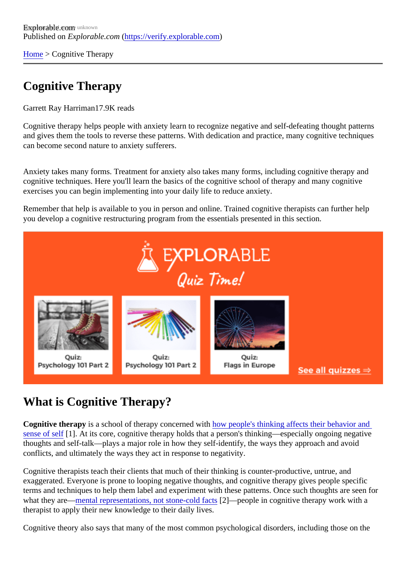[Home](https://verify.explorable.com/)> Cognitive Therapy

# Cognitive Therapy

Garrett Ray Harriman7.9K reads

Cognitive therapy helps people with anxiety learn to recognize negative and self-defeating thought pattern and gives them the tools to reverse these patterns. With dedication and practice, many cognitive technique can become second nature to anxiety sufferers.

Anxiety takes many forms. Treatment for anxiety also takes many forms, including cognitive therapy and cognitive techniques. Here you'll learn the basics of the cognitive school of therapy and many cognitive exercises you can begin implementing into your daily life to reduce anxiety.

Remember that help is available to you in person and online. Trained cognitive therapists can further help you develop a cognitive restructuring program from the essentials presented in this section.

# What is Cognitive Therapy?

Cognitive therapy is a school of therapy concerned with people's thinking affects their behavior and [sense of se](http://psychcentral.com/lib/about-cognitive-psychotherapy/)lf1]. At its core, cognitive therapy holds that a person's thinking—especially ongoing negative thoughts and self-talk—plays a major role in how they self-identify, the ways they approach and avoid conflicts, and ultimately the ways they act in response to negativity.

Cognitive therapists teach their clients that much of their thinking is counter-productive, untrue, and exaggerated. Everyone is prone to looping negative thoughts, and cognitive therapy gives people specific terms and techniques to help them label and experiment with these patterns. Once such thoughts are see what they are[—mental representations, not stone-cold f](http://psychologyinfo.com/depression/cognitive-factors.html)<sup>22</sup>ts—people in cognitive therapy work with a therapist to apply their new knowledge to their daily lives.

Cognitive theory also says that many of the most common psychological disorders, including those on the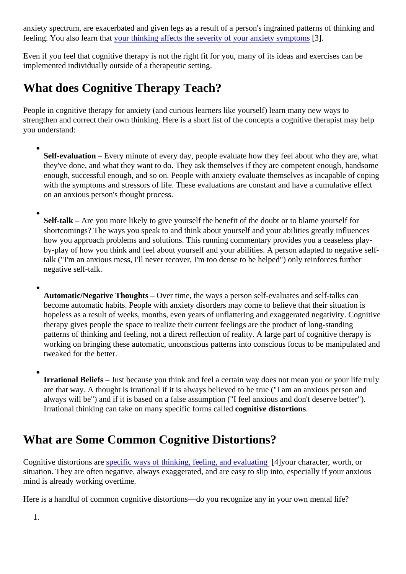anxiety spectrum, are exacerbated and given legs as a result of a person's ingrained patterns of thinking and feeling. You also learn that bur thinking affects the severity of your anxiety symptoms

Even if you feel that cognitive therapy is not the right fit for you, many of its ideas and exercises can be implemented individually outside of a therapeutic setting.

# What does Cognitive Therapy Teach?

People in cognitive therapy for anxiety (and curious learners like yourself) learn many new ways to strengthen and correct their own thinking. Here is a short list of the concepts a cognitive therapist may help you understand:

- Self-evaluation- Every minute of every day, people evaluate how they feel about who they are, what they've done, and what they want to do. They ask themselves if they are competent enough, handso enough, successful enough, and so on. People with anxiety evaluate themselves as incapable of coping with the symptoms and stressors of life. These evaluations are constant and have a cumulative effect on an anxious person's thought process.
- Self-talk Are you more likely to give yourself the benefit of the doubt or to blame yourself for shortcomings? The ways you speak to and think about yourself and your abilities greatly influences how you approach problems and solutions. This running commentary provides you a ceaseless playby-play of how you think and feel about yourself and your abilities. A person adapted to negative selftalk ("I'm an anxious mess, I'll never recover, I'm too dense to be helped") only reinforces further negative self-talk.
- 

Automatic/Negative Thoughts- Over time, the ways a person self-evaluates and self-talks can become automatic habits. People with anxiety disorders may come to believe that their situation is hopeless as a result of weeks, months, even years of unflattering and exaggerated negativity. Cognit therapy gives people the space to realize their current feelings are the product of long-standing patterns of thinking and feeling, not a direct reflection of reality. A large part of cognitive therapy is working on bringing these automatic, unconscious patterns into conscious focus to be manipulated and tweaked for the better.

Irrational Beliefs – Just because you think and feel a certain way does not mean you or your life truly are that way. A thought is irrational if it is always believed to be true ("I am an anxious person and always will be") and if it is based on a false assumption ("I feel anxious and don't deserve better"). Irrational thinking can take on many specific forms called nitive distortions.

# What are Some Common Cognitive Distortions?

Cognitive distortions are pecific ways of thinking, feeling, and evaluating your character, worth, or situation. They are often negative, always exaggerated, and are easy to slip into, especially if your anxious mind is already working overtime.

Here is a handful of common cognitive distortions—do you recognize any in your own mental life?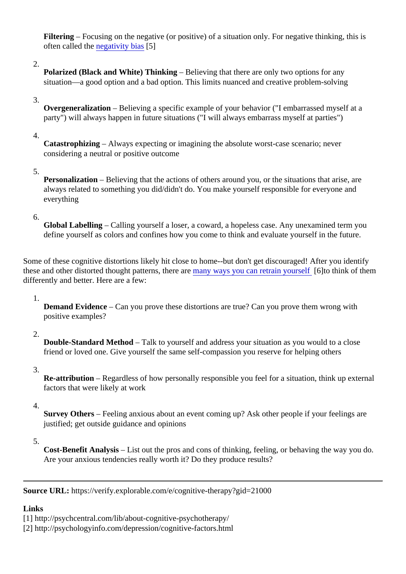Filtering – Focusing on the negative (or positive) of a situation only. For negative thinking, this is often called th[e negativity bia](http://skepdic.com/negativitybias.html)s[5]

#### 2.

Polarized (Black and White) Thinking – Believing that there are only two options for any situation—a good option and a bad option. This limits nuanced and creative problem-solving

#### 3.

Overgeneralization – Believing a specific example of your behavior ("I embarrassed myself at a party") will always happen in future situations ("I will always embarrass myself at parties")

#### 4.

Catastrophizing – Always expecting or imagining the absolute worst-case scenario; never considering a neutral or positive outcome

#### 5.

Personalization-Believing that the actions of others around you, or the situations that arise, are always related to something you did/didn't do. You make yourself responsible for everyone and everything

#### 6.

Global Labelling – Calling yourself a loser, a coward, a hopeless case. Any unexamined term you define yourself as colors and confines how you come to think and evaluate yourself in the future.

Some of these cognitive distortions likely hit close to home--but don't get discouraged! After you identify these and other distorted thought patterns, there are ways you can retrain yourself to think of them differently and better. Here are a few:

# 1.

Demand Evidence – Can you prove these distortions are true? Can you prove them wrong with positive examples?

# 2.

Double-Standard Method-Talk to yourself and address your situation as you would to a close friend or loved one. Give yourself the same self-compassion you reserve for helping others

3.

Re-attribution – Regardless of how personally responsible you feel for a situation, think up external factors that were likely at work

# 4.

Survey Others-Feeling anxious about an event coming up? Ask other people if your feelings are justified; get outside guidance and opinions

# 5.

Cost-Benefit Analysis- List out the pros and cons of thinking, feeling, or behaving the way you do. Are your anxious tendencies really worth it? Do they produce results?

Source URL: https://verify.explorable.com/e/cognitive-therapy?gid=21000

# Links

[1] http://psychcentral.com/lib/about-cognitive-psychotherapy/

[2] http://psychologyinfo.com/depression/cognitive-factors.html